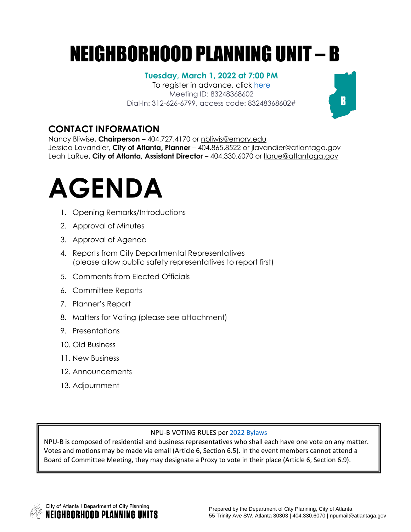## NEIGHBORHOOD PLANNING UNIT – B

#### **Tuesday, March 1, 2022 at 7:00 PM**

To register in advance, click [here](https://us06web.zoom.us/meeting/register/tZcvc-GrqDMsGtbvnnKzpDF2BbUXxQuxx_N9) Meeting ID: 83248368602 Dial-In: 312-626-6799, access code: 83248368602#

### **CONTACT INFORMATION**

Nancy Bliwise, **Chairperson** – 404.727.4170 or [nbliwis@emory.edu](mailto:nbliwis@emory.edu)  Jessica Lavandier, **City of Atlanta, Planner** – 404.865.8522 or [jlavandier@atlantaga.gov](mailto:jlavandier@atlantaga.gov) Leah LaRue, **City of Atlanta, Assistant Director** – 404.330.6070 or [llarue@atlantaga.gov](mailto:llarue@atlantaga.gov)

# **AGENDA**

- 1. Opening Remarks/Introductions
- 2. Approval of Minutes
- 3. Approval of Agenda
- 4. Reports from City Departmental Representatives (please allow public safety representatives to report first)
- 5. Comments from Elected Officials
- 6. Committee Reports
- 7. Planner's Report
- 8. Matters for Voting (please see attachment)
- 9. Presentations
- 10. Old Business
- 11. New Business
- 12. Announcements
- 13. Adjournment

#### NPU-B VOTING RULES per 2022 [Bylaws](https://drive.google.com/file/d/1Nx1HnMcgoWdbKz5jXDii9NGpDqeiiR69/view?usp=sharing)

NPU-B is composed of residential and business representatives who shall each have one vote on any matter. Votes and motions may be made via email (Article 6, Section 6.5). In the event members cannot attend a Board of Committee Meeting, they may designate a Proxy to vote in their place (Article 6, Section 6.9).



 $\mathbf{B}$